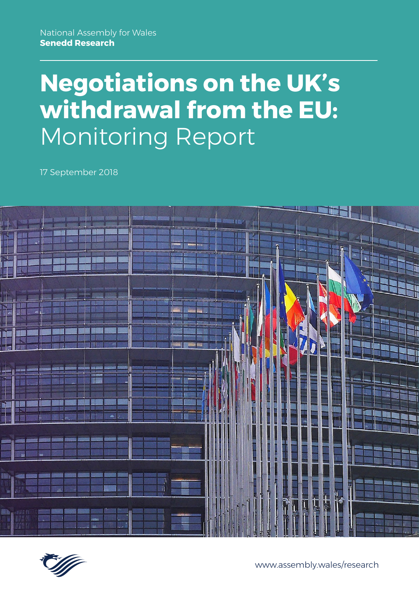# **Negotiations on the UK's withdrawal from the EU:** Monitoring Report

17 September 2018





www.assembly.wales/research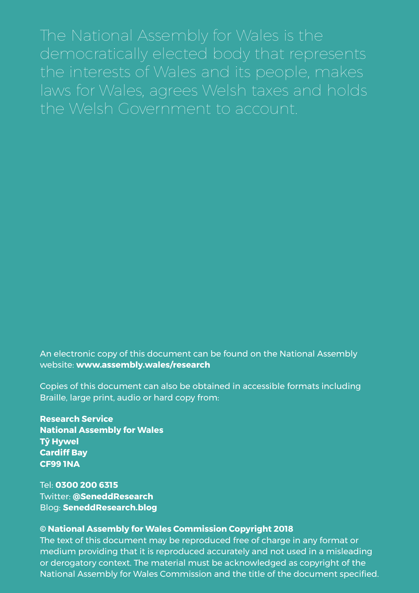The National Assembly for Wales is the democratically elected body that represents the interests of Wales and its people, makes laws for Wales, agrees Welsh taxes and holds the Welsh Government to account.

An electronic copy of this document can be found on the National Assembly website: **www.assembly.wales/research**

Copies of this document can also be obtained in accessible formats including Braille, large print, audio or hard copy from:

**Research Service National Assembly for Wales Tŷ Hywel Cardiff Bay CF99 1NA**

Tel: **0300 200 6315** Twitter: **@SeneddResearch** Blog: **SeneddResearch.blog**

#### **© National Assembly for Wales Commission Copyright 2018**

The text of this document may be reproduced free of charge in any format or medium providing that it is reproduced accurately and not used in a misleading or derogatory context. The material must be acknowledged as copyright of the National Assembly for Wales Commission and the title of the document specified.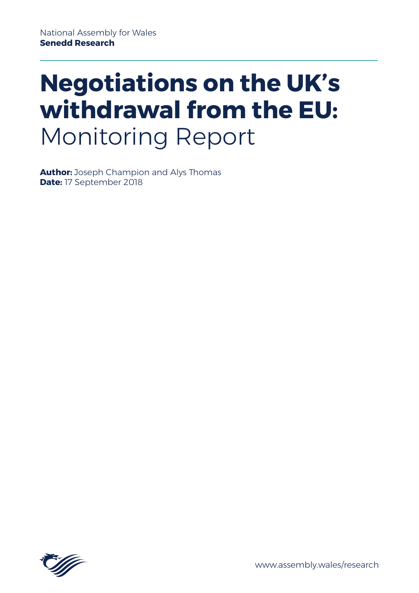# **Negotiations on the UK's withdrawal from the EU:** Monitoring Report

**Author:** Joseph Champion and Alys Thomas **Date:** 17 September 2018



www.assembly.wales/research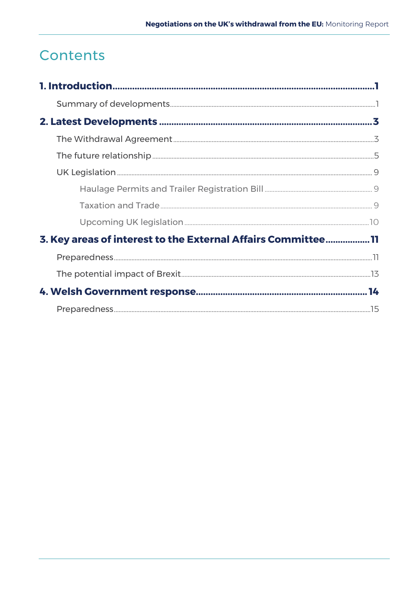# Contents

| 3. Key areas of interest to the External Affairs Committee 11 |  |
|---------------------------------------------------------------|--|
|                                                               |  |
|                                                               |  |
|                                                               |  |
|                                                               |  |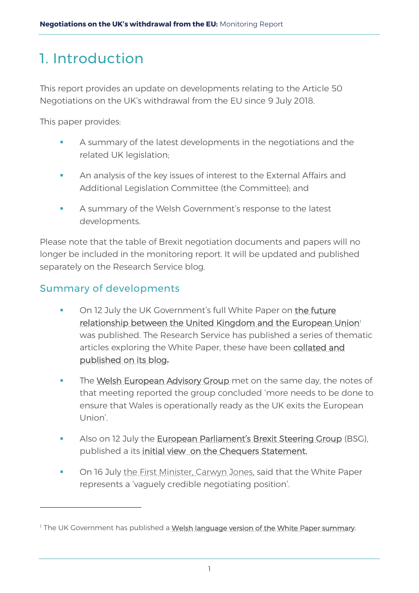# <span id="page-5-0"></span>1. Introduction

This report provides an update on developments relating to the Article 50 Negotiations on the UK's withdrawal from the EU since 9 July 2018.

This paper provides:

- A summary of the latest developments in the negotiations and the related UK legislation;
- **An analysis of the key issues of interest to the External Affairs and** Additional Legislation Committee (the Committee); and
- A summary of the Welsh Government's response to the latest developments.

Please note that the table of Brexit negotiation documents and papers will no longer be included in the monitoring report. It will be updated and published separately on the Research Service blog.

## <span id="page-5-1"></span>Summary of developments

-

- On 12 July the UK Government's full White Paper on the future [relationship between the United Kingdom and the European Union](https://www.gov.uk/government/publications/the-future-relationship-between-the-united-kingdom-and-the-european-union)<sup>1</sup> was published. The Research Service has published a series of thematic articles exploring the White Paper, these have been collated and [published on its blog](https://seneddresearch.blog/2018/09/03/a-summary-of-the-uk-governments-white-paper-proposals-for-the-uks-future-relationship-with-the-eu/)**.**
- The [Welsh European Advisory Group](https://beta.gov.wales/european-advisory-group) met on the same day, the notes of that meeting reported the group concluded 'more needs to be done to ensure that Wales is operationally ready as the UK exits the European Union'.
- Also on 12 July the **European Parliament's Brexit Steering Group** (BSG), published a its [initial view on the Chequers Statement.](http://www.epgenpro.europarl.europa.eu/static/brexit-steering-group/en/documents/statements.html)
- **On 16 July [the First Minister, Carwyn Jones,](https://gov.wales/newsroom/firstminister/2018/180716-first-minister-calls-flexibility-from-eu27-to-avoid-no-deal/?lang=en) said that the White Paper** represents a 'vaguely credible negotiating position'.

<sup>&</sup>lt;sup>1</sup> The UK Government has published a [Welsh language version of the White Paper summary](https://assets.publishing.service.gov.uk/government/uploads/system/uploads/attachment_data/file/726214/UK-EU_Future_Relationship_White_Paper_-_Executive_Summary_-_WELSH.pdf).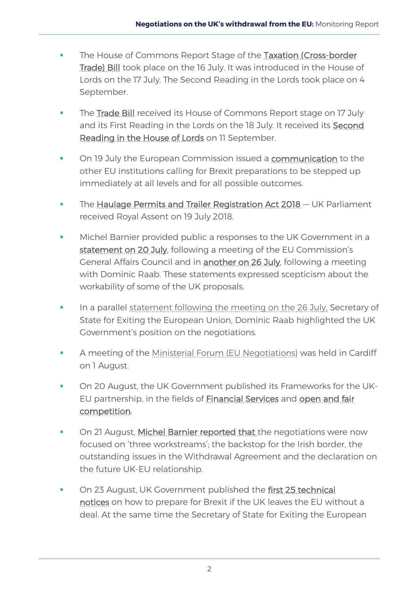- **The House of Commons Report Stage of the Taxation (Cross-border** [Trade\) Bill](https://services.parliament.uk/Bills/2017-19/taxationcrossbordertrade.html) took place on the 16 July. It was introduced in the House of Lords on the 17 July. The Second Reading in the Lords took place on 4 September.
- The [Trade Bill](https://services.parliament.uk/Bills/2017-19/trade.html) received its House of Commons Report stage on 17 July and its First Reading in the Lords on the 18 July. It received its [Second](https://hansard.parliament.uk/lords/2018-09-11/debates/72AA2D31-42E3-4660-ADE8-A87F44B77CFA/TradeBill)  [Reading in the House of Lords](https://hansard.parliament.uk/lords/2018-09-11/debates/72AA2D31-42E3-4660-ADE8-A87F44B77CFA/TradeBill) on 11 September.
- On 19 July the European Commission issued a [communication](https://ec.europa.eu/info/sites/info/files/communication-preparing-withdrawal-brexit-preparedness.pdf) to the other EU institutions calling for Brexit preparations to be stepped up immediately at all levels and for all possible outcomes.
- The [Haulage Permits and Trailer Registration Act 2018](https://services.parliament.uk/Bills/2017-19/haulagepermitsandtrailerregistrationbill.html) UK Parliament received Royal Assent on 19 July 2018.
- Michel Barnier provided public a responses to the UK Government in a [statement on 20 July,](http://europa.eu/rapid/press-release_STATEMENT-18-4626_en.htm) following a meeting of the EU Commission's General Affairs Council and in **another on 26 July**, following a meeting with Dominic Raab. These statements expressed scepticism about the workability of some of the UK proposals.
- In a parallel [statement following the meeting on the 26 July,](https://www.gov.uk/government/news/secretary-of-state-statement-following-negotiation-round-thursday-26-july) Secretary of State for Exiting the European Union, Dominic Raab highlighted the UK Government's position on the negotiations.
- A meeting of the [Ministerial Forum \(EU Negotiations\)](https://www.gov.uk/government/publications/ministerial-forum-communique-1-august-2018) was held in Cardiff on 1 August.
- On 20 August, the UK Government published its Frameworks for the UK-EU partnership, in the fields of **Financial Services** and open and fair [competition.](https://www.gov.uk/government/publications/framework-for-the-uk-eu-partnership-open-and-fair-competition)
- On 21 August, [Michel Barnier reported that](http://europa.eu/rapid/press-release_STATEMENT-18-5105_en.htm) the negotiations were now focused on 'three workstreams'; the backstop for the Irish border, the outstanding issues in the Withdrawal Agreement and the declaration on the future UK-EU relationship.
- **On 23 August, UK Government published the first 25 technical** [notices](https://www.gov.uk/government/collections/how-to-prepare-if-the-uk-leaves-the-eu-with-no-deal#overview) on how to prepare for Brexit if the UK leaves the EU without a deal. At the same time the Secretary of State for Exiting the European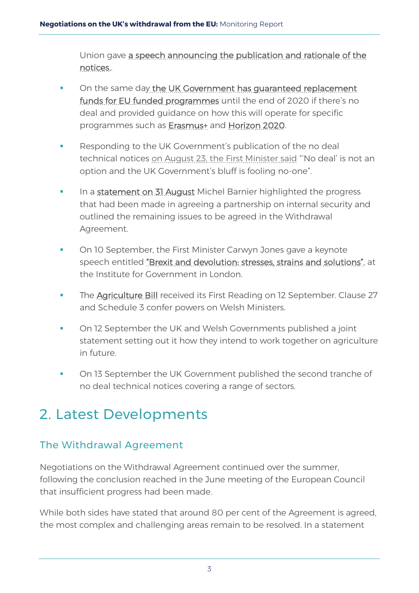Union gave [a speech announcing the publication and rationale of the](https://www.gov.uk/government/news/secretary-of-state-dominic-raabs-speech-on-no-deal-planning)  [notices,.](https://www.gov.uk/government/news/secretary-of-state-dominic-raabs-speech-on-no-deal-planning)

- On the same day [the UK Government has guaranteed replacement](https://www.gov.uk/government/publications/the-governments-guarantee-for-eu-funded-programmes-if-theres-no-brexit-deal/the-governments-guarantee-for-eu-funded-programmes-if-theres-no-brexit-deal)  [funds for EU funded programmes](https://www.gov.uk/government/publications/the-governments-guarantee-for-eu-funded-programmes-if-theres-no-brexit-deal/the-governments-guarantee-for-eu-funded-programmes-if-theres-no-brexit-deal) until the end of 2020 if there's no deal and provided guidance on how this will operate for specific programmes such as [Erasmus+](https://www.gov.uk/government/publications/erasmus-in-the-uk-if-theres-no-brexit-deal) and [Horizon 2020.](https://www.gov.uk/government/publications/horizon-2020-funding-if-theres-no-brexit-deal)
- Responding to the UK Government's publication of the no deal technical notices [on August 23, the First Minister said](https://gov.wales/newsroom/firstminister/2018/180823-first-minister-responds-to-uk-governments-no-deal-plans/?lang=en) "'No deal' is not an option and the UK Government's bluff is fooling no-one".
- In a [statement on 31 August](http://europa.eu/rapid/press-release_STATEMENT-18-5403_en.htm) Michel Barnier highlighted the progress that had been made in agreeing a partnership on internal security and outlined the remaining issues to be agreed in the Withdrawal Agreement.
- On 10 September, the First Minister Carwyn Jones gave a keynote speech entitled ["Brexit and devolution: stresses, strains and solutions",](https://www.instituteforgovernment.org.uk/events/keynote-carwyn-jones-first-minister-wales) at the Institute for Government in London.
- The [Agriculture Bill](https://services.parliament.uk/Bills/2017-19/agriculture.html) received its First Reading on 12 September. Clause 27 and Schedule 3 confer powers on Welsh Ministers.
- On 12 September the UK and Welsh Governments published a joint statement setting out it how they intend to work together on agriculture in future.
- On 13 September the UK Government published the second tranche of no deal technical notices covering a range of sectors.

# <span id="page-7-0"></span>2. Latest Developments

# <span id="page-7-1"></span>The Withdrawal Agreement

Negotiations on the Withdrawal Agreement continued over the summer, following the conclusion reached in the June meeting of the European Council that insufficient progress had been made.

While both sides have stated that around 80 per cent of the Agreement is agreed, the most complex and challenging areas remain to be resolved. In a statement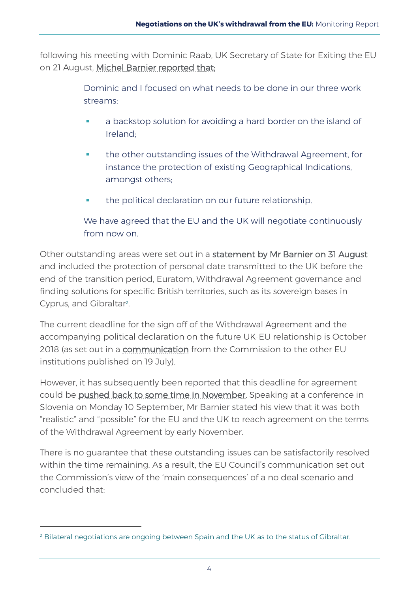following his meeting with Dominic Raab, UK Secretary of State for Exiting the EU on 21 August, [Michel Barnier reported that:](http://europa.eu/rapid/press-release_STATEMENT-18-5105_en.htm)

> Dominic and I focused on what needs to be done in our three work streams:

- a backstop solution for avoiding a hard border on the island of Ireland;
- **the other outstanding issues of the Withdrawal Agreement, for** instance the protection of existing Geographical Indications, amongst others;
- **the political declaration on our future relationship.**

We have agreed that the EU and the UK will negotiate continuously from now on.

Other outstanding areas were set out in a [statement by Mr Barnier on 31 August](http://europa.eu/rapid/press-release_STATEMENT-18-5403_en.htm) and included the protection of personal date transmitted to the UK before the end of the transition period, Euratom, Withdrawal Agreement governance and finding solutions for specific British territories, such as its sovereign bases in Cyprus, and Gibraltar<sup>2</sup>. .

The current deadline for the sign off of the Withdrawal Agreement and the accompanying political declaration on the future UK-EU relationship is October 2018 (as set out in a [communication](https://ec.europa.eu/info/sites/info/files/communication-preparing-withdrawal-brexit-preparedness.pdf) from the Commission to the other EU institutions published on 19 July).

However, it has subsequently been reported that this deadline for agreement could be [pushed back to some time in November.](https://www.bloomberg.com/news/articles/2018-08-29/u-k-and-eu-said-to-drop-their-october-deadline-for-brexit-deal) Speaking at a conference in Slovenia on Monday 10 September, Mr Barnier stated his view that it was both "realistic" and "possible" for the EU and the UK to reach agreement on the terms of the Withdrawal Agreement by early November.

There is no guarantee that these outstanding issues can be satisfactorily resolved within the time remaining. As a result, the EU Council's communication set out the Commission's view of the 'main consequences' of a no deal scenario and concluded that:

-

 $<sup>2</sup>$  Bilateral negotiations are ongoing between Spain and the UK as to the status of Gibraltar.</sup>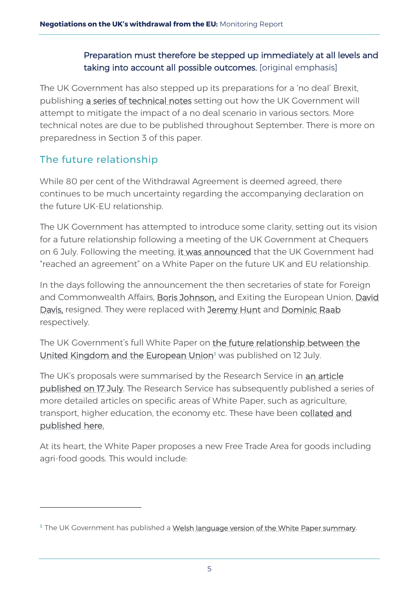### Preparation must therefore be stepped up immediately at all levels and taking into account all possible outcomes. [original emphasis]

The UK Government has also stepped up its preparations for a 'no deal' Brexit, publishing [a series of technical notes](https://www.gov.uk/government/publications/uk-governments-preparations-for-a-no-deal-scenario/uk-governments-preparations-for-a-no-deal-scenario) setting out how the UK Government will attempt to mitigate the impact of a no deal scenario in various sectors. More technical notes are due to be published throughout September. There is more on preparedness in Section 3 of this paper.

## <span id="page-9-0"></span>The future relationship

-

While 80 per cent of the Withdrawal Agreement is deemed agreed, there continues to be much uncertainty regarding the accompanying declaration on the future UK-EU relationship.

The UK Government has attempted to introduce some clarity, setting out its vision for a future relationship following a meeting of the UK Government at Chequers on 6 July. Following the meeting, [it was announced](https://www.gov.uk/government/news/pm-words-following-chequers-6-july-2018) that the UK Government had "reached an agreement" on a White Paper on the future UK and EU relationship.

In the days following the announcement the then secretaries of state for Foreign and Commonwealth Affairs, [Boris Johnson,](https://www.bbc.co.uk/news/uk-politics-44772804) and Exiting the European Union, [David](https://www.bbc.co.uk/news/uk-politics-44761416)  [Davis,](https://www.bbc.co.uk/news/uk-politics-44761416) resigned. They were replaced with [Jeremy Hunt](https://www.bbc.co.uk/news/uk-politics-44774702) and [Dominic Raab](https://www.bbc.co.uk/news/uk-politics-44763998) respectively.

The UK Government's full White Paper on [the future relationship between the](https://www.gov.uk/government/publications/the-future-relationship-between-the-united-kingdom-and-the-european-union)  [United Kingdom and the European Union](https://www.gov.uk/government/publications/the-future-relationship-between-the-united-kingdom-and-the-european-union)<sup>3</sup> was published on 12 July.

The UK's proposals were summarised by the Research Service in an article [published on 17 July.](https://seneddresearch.blog/2018/07/17/uk-eu-future-relationship-uk-government-publishes-its-proposals-for-a-future-relationship-with-the-eu/) The Research Service has subsequently published a series of more detailed articles on specific areas of White Paper, such as agriculture, transport, higher education, the economy etc. These have been [collated and](https://seneddresearch.blog/2018/09/03/a-summary-of-the-uk-governments-white-paper-proposals-for-the-uks-future-relationship-with-the-eu/)  [published here.](https://seneddresearch.blog/2018/09/03/a-summary-of-the-uk-governments-white-paper-proposals-for-the-uks-future-relationship-with-the-eu/)

At its heart, the White Paper proposes a new Free Trade Area for goods including agri-food goods. This would include:

<sup>&</sup>lt;sup>3</sup> The UK Government has published a [Welsh language version of the White Paper summary](https://assets.publishing.service.gov.uk/government/uploads/system/uploads/attachment_data/file/726214/UK-EU_Future_Relationship_White_Paper_-_Executive_Summary_-_WELSH.pdf).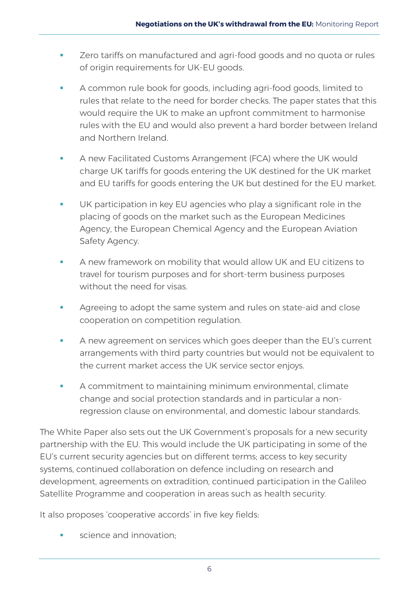- **EXECT** Zero tariffs on manufactured and agri-food goods and no quota or rules of origin requirements for UK-EU goods.
- A common rule book for goods, including agri-food goods, limited to rules that relate to the need for border checks. The paper states that this would require the UK to make an upfront commitment to harmonise rules with the EU and would also prevent a hard border between Ireland and Northern Ireland.
- A new Facilitated Customs Arrangement (FCA) where the UK would charge UK tariffs for goods entering the UK destined for the UK market and EU tariffs for goods entering the UK but destined for the EU market.
- UK participation in key EU agencies who play a significant role in the placing of goods on the market such as the European Medicines Agency, the European Chemical Agency and the European Aviation Safety Agency.
- A new framework on mobility that would allow UK and EU citizens to travel for tourism purposes and for short-term business purposes without the need for visas.
- **Agreeing to adopt the same system and rules on state-aid and close** cooperation on competition regulation.
- A new agreement on services which goes deeper than the EU's current arrangements with third party countries but would not be equivalent to the current market access the UK service sector enjoys.
- A commitment to maintaining minimum environmental, climate change and social protection standards and in particular a nonregression clause on environmental, and domestic labour standards.

The White Paper also sets out the UK Government's proposals for a new security partnership with the EU. This would include the UK participating in some of the EU's current security agencies but on different terms; access to key security systems, continued collaboration on defence including on research and development, agreements on extradition, continued participation in the Galileo Satellite Programme and cooperation in areas such as health security.

It also proposes 'cooperative accords' in five key fields:

science and innovation;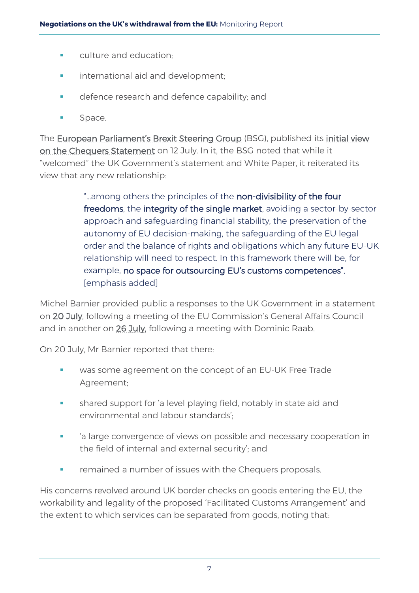- **EXECUTE:** culture and education;
- **international aid and development;**
- **defence research and defence capability; and**
- **Space.**

The [European Parliament's Brexit Steering Group](http://www.epgenpro.europarl.europa.eu/static/brexit-steering-group/en/home.html) (BSG), published its [initial view](http://www.epgenpro.europarl.europa.eu/static/brexit-steering-group/en/documents/statements.html)  [on the Chequers Statement](http://www.epgenpro.europarl.europa.eu/static/brexit-steering-group/en/documents/statements.html) on 12 July. In it, the BSG noted that while it "welcomed" the UK Government's statement and White Paper, it reiterated its view that any new relationship:

> "...among others the principles of the non-divisibility of the four freedoms, the integrity of the single market, avoiding a sector-by-sector approach and safeguarding financial stability, the preservation of the autonomy of EU decision-making, the safeguarding of the EU legal order and the balance of rights and obligations which any future EU-UK relationship will need to respect. In this framework there will be, for example, no space for outsourcing EU's customs competences". [emphasis added]

Michel Barnier provided public a responses to the UK Government in a statement on [20 July,](http://europa.eu/rapid/press-release_STATEMENT-18-4626_en.htm) following a meeting of the EU Commission's General Affairs Council and in another on [26 July,](http://europa.eu/rapid/press-release_SPEECH-18-4704_en.htm) following a meeting with Dominic Raab.

On 20 July, Mr Barnier reported that there:

- was some agreement on the concept of an EU-UK Free Trade Agreement;
- shared support for 'a level playing field, notably in state aid and environmental and labour standards';
- 'a large convergence of views on possible and necessary cooperation in the field of internal and external security'; and
- remained a number of issues with the Chequers proposals.

His concerns revolved around UK border checks on goods entering the EU, the workability and legality of the proposed 'Facilitated Customs Arrangement' and the extent to which services can be separated from goods, noting that: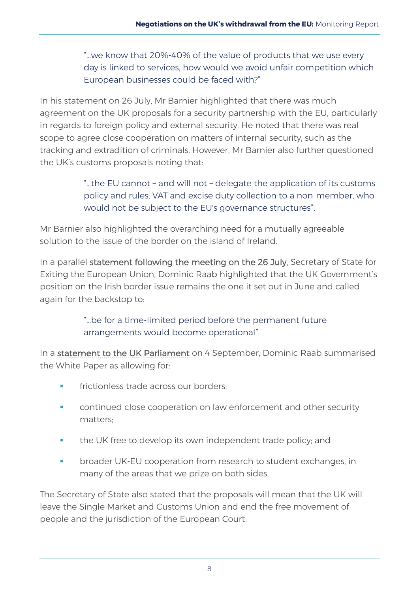"…we know that 20%-40% of the value of products that we use every day is linked to services, how would we avoid unfair competition which European businesses could be faced with?"

In his statement on 26 July, Mr Barnier highlighted that there was much agreement on the UK proposals for a security partnership with the EU, particularly in regards to foreign policy and external security. He noted that there was real scope to agree close cooperation on matters of internal security, such as the tracking and extradition of criminals. However, Mr Barnier also further questioned the UK's customs proposals noting that:

> "…the EU cannot – and will not – delegate the application of its customs policy and rules, VAT and excise duty collection to a non-member, who would not be subject to the EU's governance structures".

Mr Barnier also highlighted the overarching need for a mutually agreeable solution to the issue of the border on the island of Ireland.

In a parallel [statement following the meeting on the 26 July,](https://www.gov.uk/government/news/secretary-of-state-statement-following-negotiation-round-thursday-26-july) Secretary of State for Exiting the European Union, Dominic Raab highlighted that the UK Government's position on the Irish border issue remains the one it set out in June and called again for the backstop to:

> "…be for a time-limited period before the permanent future arrangements would become operational".

In a [statement to the UK Parliament](https://www.gov.uk/government/speeches/secretary-of-state-statement-to-parliament-september-4th-2018) on 4 September, Dominic Raab summarised the White Paper as allowing for:

- frictionless trade across our borders;
- continued close cooperation on law enforcement and other security matters;
- **the UK free to develop its own independent trade policy; and**
- broader UK-EU cooperation from research to student exchanges, in many of the areas that we prize on both sides.

The Secretary of State also stated that the proposals will mean that the UK will leave the Single Market and Customs Union and end the free movement of people and the jurisdiction of the European Court.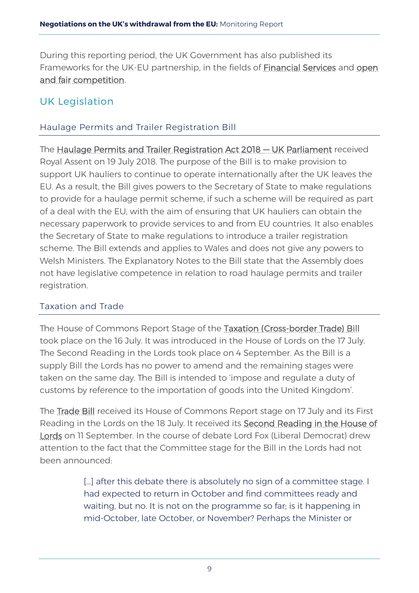During this reporting period, the UK Government has also published its Frameworks for the UK-EU partnership, in the fields of **Financial Services** and open [and fair competition.](https://www.gov.uk/government/publications/framework-for-the-uk-eu-partnership-open-and-fair-competition)

## <span id="page-13-0"></span>UK Legislation

### <span id="page-13-1"></span>Haulage Permits and Trailer Registration Bill

The [Haulage Permits and Trailer Registration Act 2018 — UK Parliament](https://services.parliament.uk/Bills/2017-19/haulagepermitsandtrailerregistrationbill.html) received Royal Assent on 19 July 2018. The purpose of the Bill is to make provision to support UK hauliers to continue to operate internationally after the UK leaves the EU. As a result, the Bill gives powers to the Secretary of State to make regulations to provide for a haulage permit scheme, if such a scheme will be required as part of a deal with the EU, with the aim of ensuring that UK hauliers can obtain the necessary paperwork to provide services to and from EU countries. It also enables the Secretary of State to make regulations to introduce a trailer registration scheme. The Bill extends and applies to Wales and does not give any powers to Welsh Ministers. The Explanatory Notes to the Bill state that the Assembly does not have legislative competence in relation to road haulage permits and trailer registration.

#### <span id="page-13-2"></span>Taxation and Trade

The House of Commons Report Stage of the [Taxation \(Cross-border Trade\) Bill](https://services.parliament.uk/Bills/2017-19/taxationcrossbordertrade.html)  took place on the 16 July. It was introduced in the House of Lords on the 17 July. The Second Reading in the Lords took place on 4 September. As the Bill is a supply Bill the Lords has no power to amend and the remaining stages were taken on the same day. The Bill is intended to 'impose and regulate a duty of customs by reference to the importation of goods into the United Kingdom'.

The [Trade Bill](https://services.parliament.uk/Bills/2017-19/trade.html) received its House of Commons Report stage on 17 July and its First Reading in the Lords on the 18 July. It received its [Second Reading in the House of](https://hansard.parliament.uk/lords/2018-09-11/debates/72AA2D31-42E3-4660-ADE8-A87F44B77CFA/TradeBill)  [Lords](https://hansard.parliament.uk/lords/2018-09-11/debates/72AA2D31-42E3-4660-ADE8-A87F44B77CFA/TradeBill) on 11 September. In the course of debate Lord Fox (Liberal Democrat) drew attention to the fact that the Committee stage for the Bill in the Lords had not been announced:

> [...] after this debate there is absolutely no sign of a committee stage. I had expected to return in October and find committees ready and waiting, but no. It is not on the programme so far; is it happening in mid-October, late October, or November? Perhaps the Minister or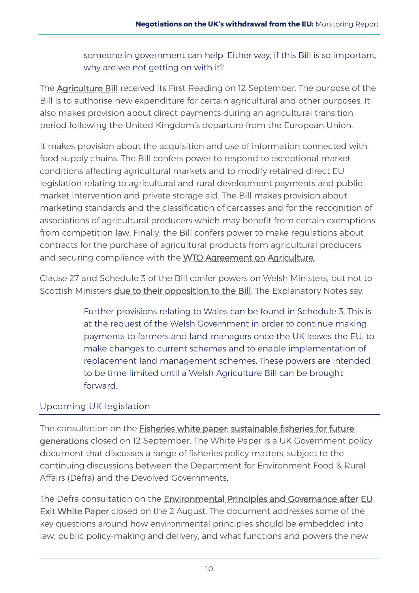someone in government can help. Either way, if this Bill is so important, why are we not getting on with it?

The **Agriculture Bill** received its First Reading on 12 September. The purpose of the Bill is to authorise new expenditure for certain agricultural and other purposes. It also makes provision about direct payments during an agricultural transition period following the United Kingdom's departure from the European Union.

It makes provision about the acquisition and use of information connected with food supply chains. The Bill confers power to respond to exceptional market conditions affecting agricultural markets and to modify retained direct EU legislation relating to agricultural and rural development payments and public market intervention and private storage aid. The Bill makes provision about marketing standards and the classification of carcasses and for the recognition of associations of agricultural producers which may benefit from certain exemptions from competition law. Finally, the Bill confers power to make regulations about contracts for the purchase of agricultural products from agricultural producers and securing compliance with the [WTO Agreement on Agriculture.](https://www.wto.org/english/docs_e/legal_e/14-ag_01_e.htm)

Clause 27 and Schedule 3 of the Bill confer powers on Welsh Ministers, but not to Scottish Ministers [due to their opposition to the Bill.](https://www.bbc.co.uk/news/uk-scotland-scotland-politics-45498014) The Explanatory Notes say:

> Further provisions relating to Wales can be found in Schedule 3. This is at the request of the Welsh Government in order to continue making payments to farmers and land managers once the UK leaves the EU, to make changes to current schemes and to enable implementation of replacement land management schemes. These powers are intended to be time limited until a Welsh Agriculture Bill can be brought forward.

#### <span id="page-14-0"></span>Upcoming UK legislation

The consultation on the [Fisheries white paper: sustainable fisheries for future](https://www.gov.uk/government/consultations/fisheries-white-paper-sustainable-fisheries-for-future-generations)  [generations](https://www.gov.uk/government/consultations/fisheries-white-paper-sustainable-fisheries-for-future-generations) closed on 12 September. The White Paper is a UK Government policy document that discusses a range of fisheries policy matters, subject to the continuing discussions between the Department for Environment Food & Rural Affairs (Defra) and the Devolved Governments.

The Defra consultation on the [Environmental Principles and Governance after EU](https://consult.defra.gov.uk/eu/environmental-principles-and-governance/)  **[Exit White Paper](https://consult.defra.gov.uk/eu/environmental-principles-and-governance/)** closed on the 2 August. The document addresses some of the key questions around how environmental principles should be embedded into law, public policy-making and delivery, and what functions and powers the new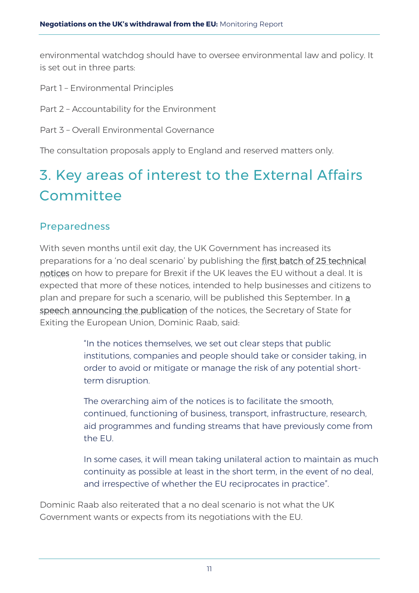environmental watchdog should have to oversee environmental law and policy. It is set out in three parts:

- Part 1 Environmental Principles
- Part 2 Accountability for the Environment
- Part 3 Overall Environmental Governance

The consultation proposals apply to England and reserved matters only.

# <span id="page-15-0"></span>3. Key areas of interest to the External Affairs **Committee**

#### <span id="page-15-1"></span>Preparedness

With seven months until exit day, the UK Government has increased its preparations for a 'no deal scenario' by publishing the [first batch of 25 technical](https://www.gov.uk/government/collections/how-to-prepare-if-the-uk-leaves-the-eu-with-no-deal#overview)  [notices](https://www.gov.uk/government/collections/how-to-prepare-if-the-uk-leaves-the-eu-with-no-deal#overview) on how to prepare for Brexit if the UK leaves the EU without a deal. It is expected that more of these notices, intended to help businesses and citizens to plan and prepare for such a scenario, will be published this September. In [a](https://www.gov.uk/government/news/secretary-of-state-dominic-raabs-speech-on-no-deal-planning)  [speech announcing the publication](https://www.gov.uk/government/news/secretary-of-state-dominic-raabs-speech-on-no-deal-planning) of the notices, the Secretary of State for Exiting the European Union, Dominic Raab, said:

> "In the notices themselves, we set out clear steps that public institutions, companies and people should take or consider taking, in order to avoid or mitigate or manage the risk of any potential shortterm disruption.

The overarching aim of the notices is to facilitate the smooth, continued, functioning of business, transport, infrastructure, research, aid programmes and funding streams that have previously come from the EU.

In some cases, it will mean taking unilateral action to maintain as much continuity as possible at least in the short term, in the event of no deal, and irrespective of whether the EU reciprocates in practice".

Dominic Raab also reiterated that a no deal scenario is not what the UK Government wants or expects from its negotiations with the EU.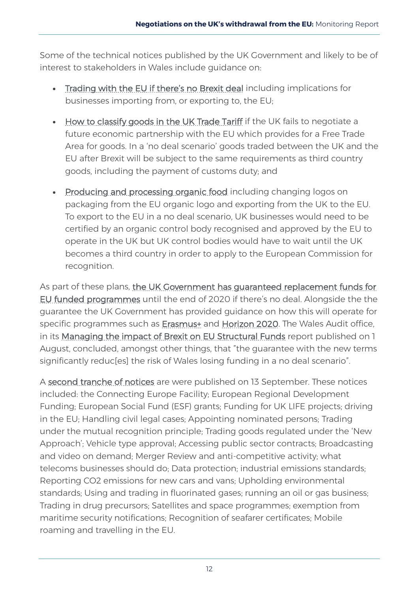Some of the technical notices published by the UK Government and likely to be of interest to stakeholders in Wales include guidance on:

- [Trading with the EU if there's no Brexit deal](https://www.gov.uk/government/publications/trading-with-the-eu-if-theres-no-brexit-deal) including implications for businesses importing from, or exporting to, the EU;
- [How to classify goods in the UK Trade Tariff](https://www.gov.uk/government/publications/classifying-your-goods-in-the-uk-trade-tariff-if-theres-no-brexit-deal/classifying-your-goods-in-the-uk-trade-tariff-if-theres-a-no-brexit-deal) if the UK fails to negotiate a future economic partnership with the EU which provides for a Free Trade Area for goods. In a 'no deal scenario' goods traded between the UK and the EU after Brexit will be subject to the same requirements as third country goods, including the payment of customs duty; and
- [Producing and processing organic food](https://www.gov.uk/government/publications/producing-and-processing-organic-food-if-theres-no-brexit-deal/producing-and-processing-organic-food-if-theres-no-brexit-deal) including changing logos on packaging from the EU organic logo and exporting from the UK to the EU. To export to the EU in a no deal scenario, UK businesses would need to be certified by an organic control body recognised and approved by the EU to operate in the UK but UK control bodies would have to wait until the UK becomes a third country in order to apply to the European Commission for recognition.

As part of these plans, the UK Government has guaranteed replacement funds for [EU funded programmes](https://www.gov.uk/government/publications/the-governments-guarantee-for-eu-funded-programmes-if-theres-no-brexit-deal/the-governments-guarantee-for-eu-funded-programmes-if-theres-no-brexit-deal) until the end of 2020 if there's no deal. Alongside the the guarantee the UK Government has provided guidance on how this will operate for specific programmes such as **Erasmus**+ and [Horizon 2020.](https://www.gov.uk/government/publications/horizon-2020-funding-if-theres-no-brexit-deal) The Wales Audit office, in its [Managing the impact of Brexit on EU Structural Funds](http://www.audit.wales/publication/managing-impact-brexit-eu-structural-funds) report published on 1 August, concluded, amongst other things, that "the guarantee with the new terms significantly reduc[es] the risk of Wales losing funding in a no deal scenario".

A [second tranche of notices](https://www.gov.uk/government/collections/how-to-prepare-if-the-uk-leaves-the-eu-with-no-deal) are were published on 13 September. These notices included: the Connecting Europe Facility; European Regional Development Funding; European Social Fund (ESF) grants; Funding for UK LIFE projects; driving in the EU; Handling civil legal cases; Appointing nominated persons; Trading under the mutual recognition principle; Trading goods regulated under the 'New Approach'; Vehicle type approval; Accessing public sector contracts; Broadcasting and video on demand; Merger Review and anti-competitive activity; what telecoms businesses should do; Data protection; industrial emissions standards; Reporting CO2 emissions for new cars and vans; Upholding environmental standards; Using and trading in fluorinated gases; running an oil or gas business; Trading in drug precursors; Satellites and space programmes; exemption from maritime security notifications; Recognition of seafarer certificates; Mobile roaming and travelling in the EU.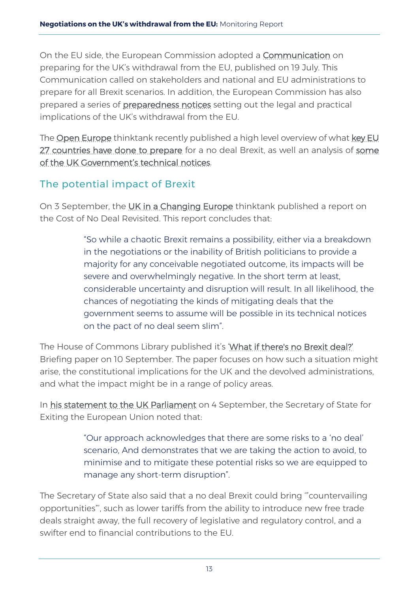On the EU side, the European Commission adopted a [Communication](https://ec.europa.eu/info/sites/info/files/communication-preparing-withdrawal-brexit-preparedness-web.pdf) on preparing for the UK's withdrawal from the EU, published on 19 July. This Communication called on stakeholders and national and EU administrations to prepare for all Brexit scenarios. In addition, the European Commission has also prepared a series of [preparedness notices](https://ec.europa.eu/info/brexit/brexit-preparedness/preparedness-notices_en) setting out the legal and practical implications of the UK's withdrawal from the EU.

The [Open Europe](https://openeurope.org.uk/today/blog/how-is-the-government-planning-to-mitigate-no-deal-disruption/) thinktank recently published a high level overview of what key EU [27 countries have done to prepare](https://openeurope.org.uk/today/blog/the-view-from-brussels-how-are-the-eu27-preparing-for-a-no-deal-brexit/) for a no deal Brexit, as well an analysis of some [of the UK Government's technical notices.](https://openeurope.org.uk/today/blog/how-is-the-government-planning-to-mitigate-no-deal-disruption/)

## <span id="page-17-0"></span>The potential impact of Brexit

On 3 September, the [UK in a Changing Europe](http://ukandeu.ac.uk/about-us/) thinktank published a report on the [Cost of No Deal Revisited.](http://ukandeu.ac.uk/research-papers/cost-of-no-deal-revisited/) This report concludes that:

> "So while a chaotic Brexit remains a possibility, either via a breakdown in the negotiations or the inability of British politicians to provide a majority for any conceivable negotiated outcome, its impacts will be severe and overwhelmingly negative. In the short term at least, considerable uncertainty and disruption will result. In all likelihood, the chances of negotiating the kinds of mitigating deals that the government seems to assume will be possible in its technical notices on the pact of no deal seem slim".

The House of Commons Library published it's ['What if there's no Brexit deal?'](https://researchbriefings.parliament.uk/ResearchBriefing/Summary/CBP-8397) Briefing paper on 10 September. The paper focuses on how such a situation might arise, the constitutional implications for the UK and the devolved administrations, and what the impact might be in a range of policy areas.

In [his statement to the UK Parliament](https://www.gov.uk/government/speeches/secretary-of-state-statement-to-parliament-september-4th-2018) on 4 September, the Secretary of State for Exiting the European Union noted that:

> "Our approach acknowledges that there are some risks to a 'no deal' scenario, And demonstrates that we are taking the action to avoid, to minimise and to mitigate these potential risks so we are equipped to manage any short-term disruption".

The Secretary of State also said that a no deal Brexit could bring '"countervailing opportunities"', such as lower tariffs from the ability to introduce new free trade deals straight away, the full recovery of legislative and regulatory control, and a swifter end to financial contributions to the EU.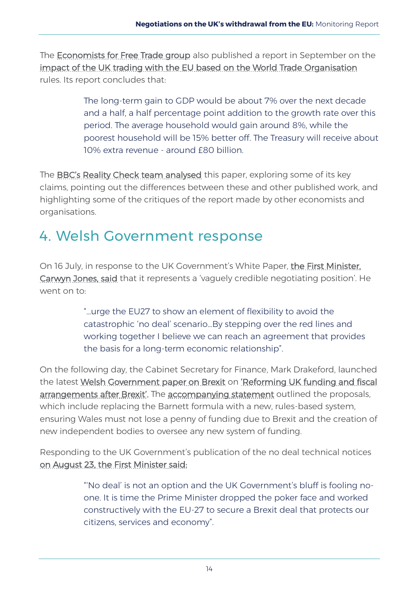The **Economists for Free Trade group** also published a report in September on the [impact of the UK trading with the EU based on the World Trade Organisation](https://www.economistsforfreetrade.com/publication/a-world-trade-deal-the-complete-guide/) rules. Its report concludes that:

> The long-term gain to GDP would be about 7% over the next decade and a half, a half percentage point addition to the growth rate over this period. The average household would gain around 8%, while the poorest household will be 15% better off. The Treasury will receive about 10% extra revenue - around £80 billion.

The [BBC's Reality Check team analysed](https://www.bbc.co.uk/news/uk-politics-45488124) this paper, exploring some of its key claims, pointing out the differences between these and other published work, and highlighting some of the critiques of the report made by other economists and organisations.

# <span id="page-18-0"></span>4. Welsh Government response

On 16 July, in response to the UK Government's White Paper, [the First Minister,](https://gov.wales/newsroom/firstminister/2018/180716-first-minister-calls-flexibility-from-eu27-to-avoid-no-deal/?lang=en)  [Carwyn Jones, said](https://gov.wales/newsroom/firstminister/2018/180716-first-minister-calls-flexibility-from-eu27-to-avoid-no-deal/?lang=en) that it represents a 'vaguely credible negotiating position'. He went on to:

> "…urge the EU27 to show an element of flexibility to avoid the catastrophic 'no deal' scenario…By stepping over the red lines and working together I believe we can reach an agreement that provides the basis for a long-term economic relationship".

On the following day, the Cabinet Secretary for Finance, Mark Drakeford, launched the latest Welsh Government paper on Brexit on ['Reforming UK funding and fiscal](https://beta.gov.wales/sites/default/files/2018-07/reforming-uk-funding-and-fiscal-arrangements-after-brexit.pdf)  [arrangements after Brexit'.](https://beta.gov.wales/sites/default/files/2018-07/reforming-uk-funding-and-fiscal-arrangements-after-brexit.pdf) The [accompanying statement](https://gov.wales/newsroom/finance1/2018/180717-reforming-uk-funding-and-fiscal-arrangements-after-brexit/?lang=en) outlined the proposals, which include replacing the Barnett formula with a new, rules-based system, ensuring Wales must not lose a penny of funding due to Brexit and the creation of new independent bodies to oversee any new system of funding.

Responding to the UK Government's publication of the no deal technical notices [on August 23, the First Minister said:](https://gov.wales/newsroom/firstminister/2018/180823-first-minister-responds-to-uk-governments-no-deal-plans/?lang=en)

> "'No deal' is not an option and the UK Government's bluff is fooling noone. It is time the Prime Minister dropped the poker face and worked constructively with the EU-27 to secure a Brexit deal that protects our citizens, services and economy".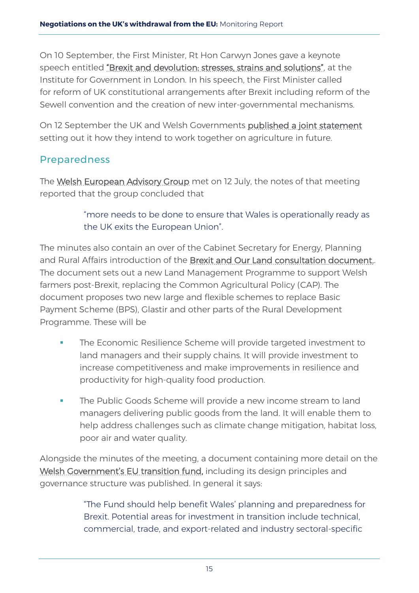On 10 September, the First Minister, Rt Hon Carwyn Jones gave a keynote speech entitled ["Brexit and devolution: stresses, strains and solutions",](https://www.instituteforgovernment.org.uk/events/keynote-carwyn-jones-first-minister-wales) at the Institute for Government in London. In his speech, the First Minister called for reform of UK constitutional arrangements after Brexit including reform of the Sewell convention and the creation of new inter-governmental mechanisms.

On 12 September the UK and Welsh Governments [published a joint statement](https://www.gov.uk/government/publications/agricultural-framework-progress-update-joint-statement) setting out it how they intend to work together on agriculture in future.

## <span id="page-19-0"></span>Preparedness

The [Welsh European Advisory Group](https://beta.gov.wales/european-advisory-group) met on 12 July, the notes of that meeting reported that the group concluded that

> "more needs to be done to ensure that Wales is operationally ready as the UK exits the European Union".

The minutes also contain an over of the Cabinet Secretary for Energy, Planning and Rural Affairs introduction of the [Brexit and Our Land consultation document..](https://beta.gov.wales/support-welsh-farming-after-brexit)  The document sets out a new Land Management Programme to support Welsh farmers post-Brexit, replacing the Common Agricultural Policy (CAP). The document proposes two new large and flexible schemes to replace Basic Payment Scheme (BPS), Glastir and other parts of the Rural Development Programme. These will be

- The Economic Resilience Scheme will provide targeted investment to land managers and their supply chains. It will provide investment to increase competitiveness and make improvements in resilience and productivity for high-quality food production.
- **The Public Goods Scheme will provide a new income stream to land** managers delivering public goods from the land. It will enable them to help address challenges such as climate change mitigation, habitat loss, poor air and water quality.

Alongside the minutes of the meeting, a document containing more detail on the [Welsh Government's EU transition fund,](https://gov.wales/newsroom/firstminister/2018/180108-50m-fund-to-help-prepare-wales-for-brexit/?lang=en) including its design principles and governance structure was published. In general it says:

> "The Fund should help benefit Wales' planning and preparedness for Brexit. Potential areas for investment in transition include technical, commercial, trade, and export-related and industry sectoral-specific